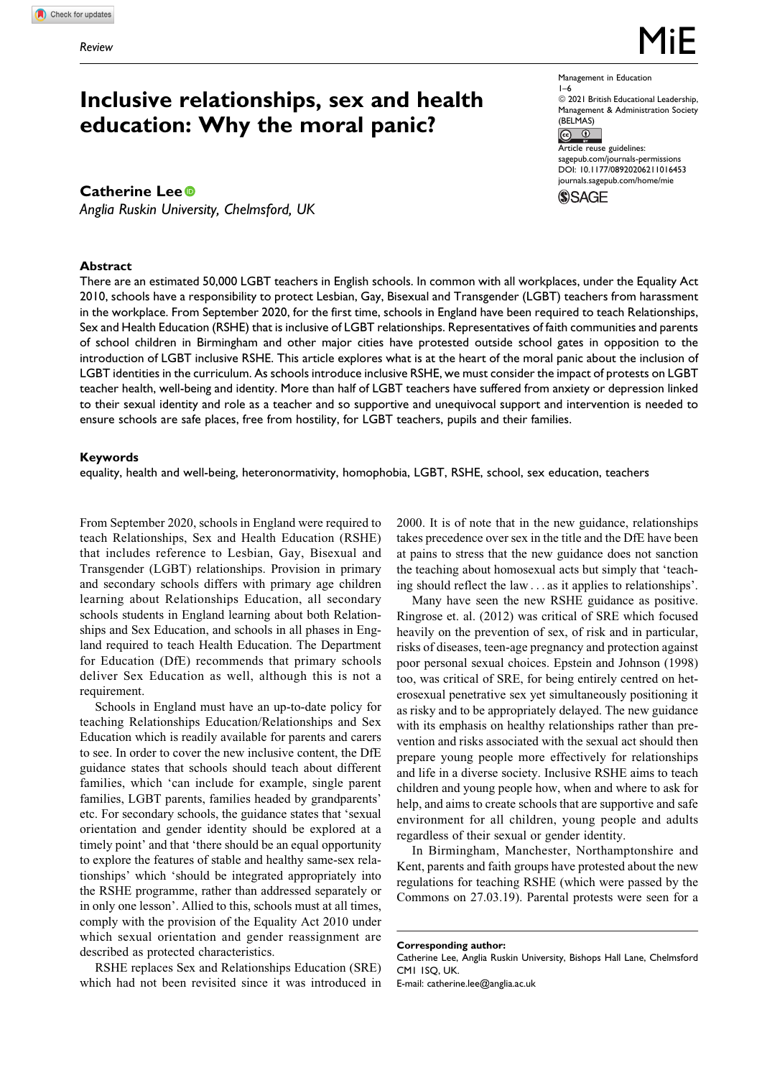# **Inclusive relationships, sex and health education: Why the moral panic?**

# **Catherine Lee**

*Anglia Ruskin University, Chelmsford, UK*

## **Abstract**

 $@ 2021$  British Educational Leadership, Management & Administration Society  $(BELMAS)$ 

Management in Education

1–6

Article reuse guidelines: [sagepub.com/journals-permissions](https://sagepub.com/journals-permissions) [DOI: 10.1177/08920206211016453](https://doi.org/10.1177/08920206211016453) [journals.sagepub.com/home/mie](http://journals.sagepub.com/home/mie) **SSAGE** 

There are an estimated 50,000 LGBT teachers in English schools. In common with all workplaces, under the Equality Act 2010, schools have a responsibility to protect Lesbian, Gay, Bisexual and Transgender (LGBT) teachers from harassment in the workplace. From September 2020, for the first time, schools in England have been required to teach Relationships, Sex and Health Education (RSHE) that is inclusive of LGBT relationships. Representatives of faith communities and parents of school children in Birmingham and other major cities have protested outside school gates in opposition to the introduction of LGBT inclusive RSHE. This article explores what is at the heart of the moral panic about the inclusion of LGBT identities in the curriculum. As schools introduce inclusive RSHE, we must consider the impact of protests on LGBT teacher health, well-being and identity. More than half of LGBT teachers have suffered from anxiety or depression linked to their sexual identity and role as a teacher and so supportive and unequivocal support and intervention is needed to ensure schools are safe places, free from hostility, for LGBT teachers, pupils and their families.

#### **Keywords**

equality, health and well-being, heteronormativity, homophobia, LGBT, RSHE, school, sex education, teachers

From September 2020, schools in England were required to teach Relationships, Sex and Health Education (RSHE) that includes reference to Lesbian, Gay, Bisexual and Transgender (LGBT) relationships. Provision in primary and secondary schools differs with primary age children learning about Relationships Education, all secondary schools students in England learning about both Relationships and Sex Education, and schools in all phases in England required to teach Health Education. The Department for Education (DfE) recommends that primary schools deliver Sex Education as well, although this is not a requirement.

Schools in England must have an up-to-date policy for teaching Relationships Education/Relationships and Sex Education which is readily available for parents and carers to see. In order to cover the new inclusive content, the DfE guidance states that schools should teach about different families, which 'can include for example, single parent families, LGBT parents, families headed by grandparents' etc. For secondary schools, the guidance states that 'sexual orientation and gender identity should be explored at a timely point' and that 'there should be an equal opportunity to explore the features of stable and healthy same-sex relationships' which 'should be integrated appropriately into the RSHE programme, rather than addressed separately or in only one lesson'. Allied to this, schools must at all times, comply with the provision of the Equality Act 2010 under which sexual orientation and gender reassignment are described as protected characteristics.

RSHE replaces Sex and Relationships Education (SRE) which had not been revisited since it was introduced in

2000. It is of note that in the new guidance, relationships takes precedence over sex in the title and the DfE have been at pains to stress that the new guidance does not sanction the teaching about homosexual acts but simply that 'teaching should reflect the law ... as it applies to relationships'.

Many have seen the new RSHE guidance as positive. Ringrose et. al. (2012) was critical of SRE which focused heavily on the prevention of sex, of risk and in particular, risks of diseases, teen-age pregnancy and protection against poor personal sexual choices. Epstein and Johnson (1998) too, was critical of SRE, for being entirely centred on heterosexual penetrative sex yet simultaneously positioning it as risky and to be appropriately delayed. The new guidance with its emphasis on healthy relationships rather than prevention and risks associated with the sexual act should then prepare young people more effectively for relationships and life in a diverse society. Inclusive RSHE aims to teach children and young people how, when and where to ask for help, and aims to create schools that are supportive and safe environment for all children, young people and adults regardless of their sexual or gender identity.

In Birmingham, Manchester, Northamptonshire and Kent, parents and faith groups have protested about the new regulations for teaching RSHE (which were passed by the Commons on 27.03.19). Parental protests were seen for a

**Corresponding author:** Catherine Lee, Anglia Ruskin University, Bishops Hall Lane, Chelmsford CM1 1SQ, UK. E-mail: [catherine.lee@anglia.ac.uk](mailto:catherine.lee@anglia.ac.uk)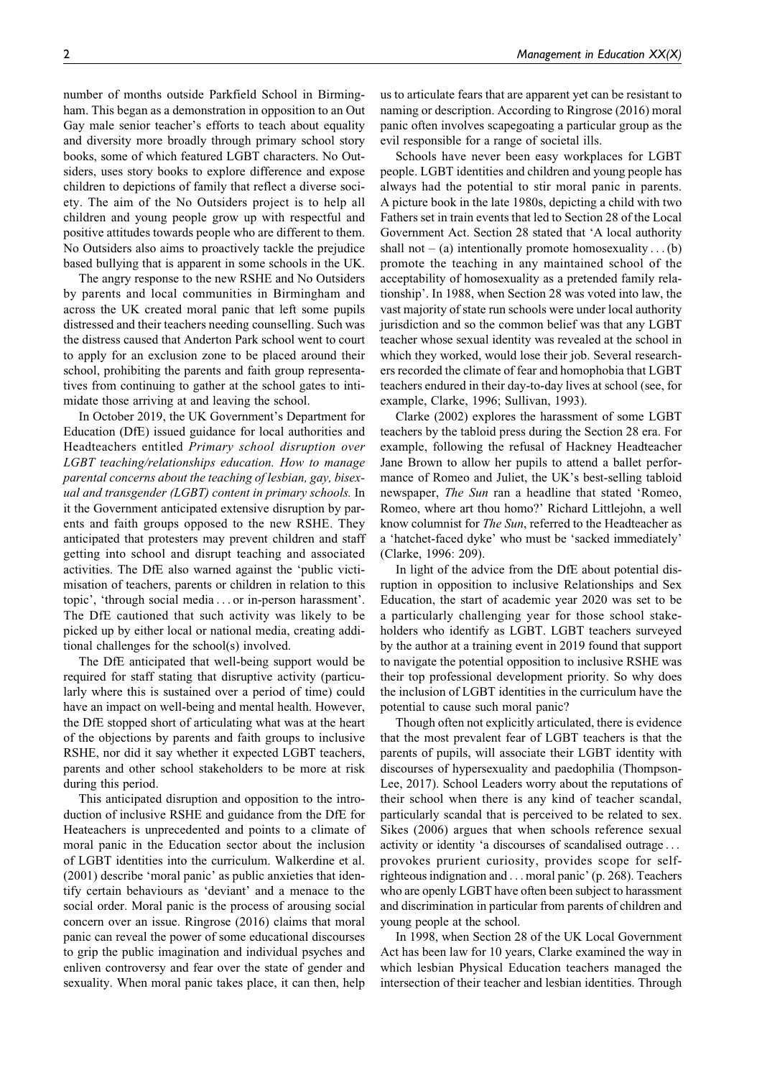number of months outside Parkfield School in Birmingham. This began as a demonstration in opposition to an Out Gay male senior teacher's efforts to teach about equality and diversity more broadly through primary school story books, some of which featured LGBT characters. No Outsiders, uses story books to explore difference and expose children to depictions of family that reflect a diverse society. The aim of the No Outsiders project is to help all children and young people grow up with respectful and positive attitudes towards people who are different to them. No Outsiders also aims to proactively tackle the prejudice based bullying that is apparent in some schools in the UK.

The angry response to the new RSHE and No Outsiders by parents and local communities in Birmingham and across the UK created moral panic that left some pupils distressed and their teachers needing counselling. Such was the distress caused that Anderton Park school went to court to apply for an exclusion zone to be placed around their school, prohibiting the parents and faith group representatives from continuing to gather at the school gates to intimidate those arriving at and leaving the school.

In October 2019, the UK Government's Department for Education (DfE) issued guidance for local authorities and Headteachers entitled Primary school disruption over LGBT teaching/relationships education. How to manage parental concerns about the teaching of lesbian, gay, bisexual and transgender (LGBT) content in primary schools. In it the Government anticipated extensive disruption by parents and faith groups opposed to the new RSHE. They anticipated that protesters may prevent children and staff getting into school and disrupt teaching and associated activities. The DfE also warned against the 'public victimisation of teachers, parents or children in relation to this topic', 'through social media ... or in-person harassment'. The DfE cautioned that such activity was likely to be picked up by either local or national media, creating additional challenges for the school(s) involved.

The DfE anticipated that well-being support would be required for staff stating that disruptive activity (particularly where this is sustained over a period of time) could have an impact on well-being and mental health. However, the DfE stopped short of articulating what was at the heart of the objections by parents and faith groups to inclusive RSHE, nor did it say whether it expected LGBT teachers, parents and other school stakeholders to be more at risk during this period.

This anticipated disruption and opposition to the introduction of inclusive RSHE and guidance from the DfE for Heateachers is unprecedented and points to a climate of moral panic in the Education sector about the inclusion of LGBT identities into the curriculum. Walkerdine et al. (2001) describe 'moral panic' as public anxieties that identify certain behaviours as 'deviant' and a menace to the social order. Moral panic is the process of arousing social concern over an issue. Ringrose (2016) claims that moral panic can reveal the power of some educational discourses to grip the public imagination and individual psyches and enliven controversy and fear over the state of gender and sexuality. When moral panic takes place, it can then, help

us to articulate fears that are apparent yet can be resistant to naming or description. According to Ringrose (2016) moral panic often involves scapegoating a particular group as the evil responsible for a range of societal ills.

Schools have never been easy workplaces for LGBT people. LGBT identities and children and young people has always had the potential to stir moral panic in parents. A picture book in the late 1980s, depicting a child with two Fathers set in train events that led to Section 28 of the Local Government Act. Section 28 stated that 'A local authority shall not – (a) intentionally promote homosexuality . . . (b) promote the teaching in any maintained school of the acceptability of homosexuality as a pretended family relationship'. In 1988, when Section 28 was voted into law, the vast majority of state run schools were under local authority jurisdiction and so the common belief was that any LGBT teacher whose sexual identity was revealed at the school in which they worked, would lose their job. Several researchers recorded the climate of fear and homophobia that LGBT teachers endured in their day-to-day lives at school (see, for example, Clarke, 1996; Sullivan, 1993).

Clarke (2002) explores the harassment of some LGBT teachers by the tabloid press during the Section 28 era. For example, following the refusal of Hackney Headteacher Jane Brown to allow her pupils to attend a ballet performance of Romeo and Juliet, the UK's best-selling tabloid newspaper, The Sun ran a headline that stated 'Romeo, Romeo, where art thou homo?' Richard Littlejohn, a well know columnist for The Sun, referred to the Headteacher as a 'hatchet-faced dyke' who must be 'sacked immediately' (Clarke, 1996: 209).

In light of the advice from the DfE about potential disruption in opposition to inclusive Relationships and Sex Education, the start of academic year 2020 was set to be a particularly challenging year for those school stakeholders who identify as LGBT. LGBT teachers surveyed by the author at a training event in 2019 found that support to navigate the potential opposition to inclusive RSHE was their top professional development priority. So why does the inclusion of LGBT identities in the curriculum have the potential to cause such moral panic?

Though often not explicitly articulated, there is evidence that the most prevalent fear of LGBT teachers is that the parents of pupils, will associate their LGBT identity with discourses of hypersexuality and paedophilia (Thompson-Lee, 2017). School Leaders worry about the reputations of their school when there is any kind of teacher scandal, particularly scandal that is perceived to be related to sex. Sikes (2006) argues that when schools reference sexual activity or identity 'a discourses of scandalised outrage ... provokes prurient curiosity, provides scope for selfrighteous indignation and ... moral panic' (p. 268). Teachers who are openly LGBT have often been subject to harassment and discrimination in particular from parents of children and young people at the school.

In 1998, when Section 28 of the UK Local Government Act has been law for 10 years, Clarke examined the way in which lesbian Physical Education teachers managed the intersection of their teacher and lesbian identities. Through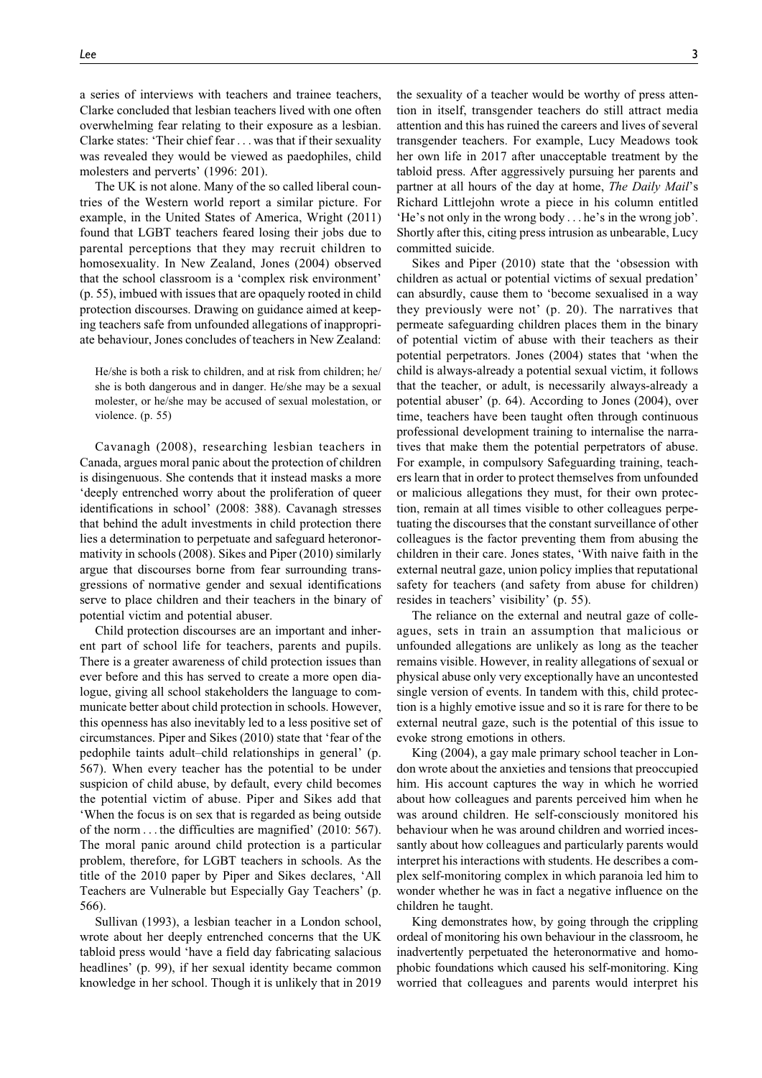a series of interviews with teachers and trainee teachers, Clarke concluded that lesbian teachers lived with one often overwhelming fear relating to their exposure as a lesbian. Clarke states: 'Their chief fear ... was that if their sexuality was revealed they would be viewed as paedophiles, child molesters and perverts' (1996: 201).

The UK is not alone. Many of the so called liberal countries of the Western world report a similar picture. For example, in the United States of America, Wright (2011) found that LGBT teachers feared losing their jobs due to parental perceptions that they may recruit children to homosexuality. In New Zealand, Jones (2004) observed that the school classroom is a 'complex risk environment' (p. 55), imbued with issues that are opaquely rooted in child protection discourses. Drawing on guidance aimed at keeping teachers safe from unfounded allegations of inappropriate behaviour, Jones concludes of teachers in New Zealand:

He/she is both a risk to children, and at risk from children; he/ she is both dangerous and in danger. He/she may be a sexual molester, or he/she may be accused of sexual molestation, or violence. (p. 55)

Cavanagh (2008), researching lesbian teachers in Canada, argues moral panic about the protection of children is disingenuous. She contends that it instead masks a more 'deeply entrenched worry about the proliferation of queer identifications in school' (2008: 388). Cavanagh stresses that behind the adult investments in child protection there lies a determination to perpetuate and safeguard heteronormativity in schools (2008). Sikes and Piper (2010) similarly argue that discourses borne from fear surrounding transgressions of normative gender and sexual identifications serve to place children and their teachers in the binary of potential victim and potential abuser.

Child protection discourses are an important and inherent part of school life for teachers, parents and pupils. There is a greater awareness of child protection issues than ever before and this has served to create a more open dialogue, giving all school stakeholders the language to communicate better about child protection in schools. However, this openness has also inevitably led to a less positive set of circumstances. Piper and Sikes (2010) state that 'fear of the pedophile taints adult–child relationships in general' (p. 567). When every teacher has the potential to be under suspicion of child abuse, by default, every child becomes the potential victim of abuse. Piper and Sikes add that 'When the focus is on sex that is regarded as being outside of the norm ... the difficulties are magnified' (2010: 567). The moral panic around child protection is a particular problem, therefore, for LGBT teachers in schools. As the title of the 2010 paper by Piper and Sikes declares, 'All Teachers are Vulnerable but Especially Gay Teachers' (p. 566).

Sullivan (1993), a lesbian teacher in a London school, wrote about her deeply entrenched concerns that the UK tabloid press would 'have a field day fabricating salacious headlines' (p. 99), if her sexual identity became common knowledge in her school. Though it is unlikely that in 2019

the sexuality of a teacher would be worthy of press attention in itself, transgender teachers do still attract media attention and this has ruined the careers and lives of several transgender teachers. For example, Lucy Meadows took her own life in 2017 after unacceptable treatment by the tabloid press. After aggressively pursuing her parents and partner at all hours of the day at home, The Daily Mail's Richard Littlejohn wrote a piece in his column entitled 'He's not only in the wrong body ... he's in the wrong job'. Shortly after this, citing press intrusion as unbearable, Lucy committed suicide.

Sikes and Piper (2010) state that the 'obsession with children as actual or potential victims of sexual predation' can absurdly, cause them to 'become sexualised in a way they previously were not' (p. 20). The narratives that permeate safeguarding children places them in the binary of potential victim of abuse with their teachers as their potential perpetrators. Jones (2004) states that 'when the child is always-already a potential sexual victim, it follows that the teacher, or adult, is necessarily always-already a potential abuser' (p. 64). According to Jones (2004), over time, teachers have been taught often through continuous professional development training to internalise the narratives that make them the potential perpetrators of abuse. For example, in compulsory Safeguarding training, teachers learn that in order to protect themselves from unfounded or malicious allegations they must, for their own protection, remain at all times visible to other colleagues perpetuating the discourses that the constant surveillance of other colleagues is the factor preventing them from abusing the children in their care. Jones states, 'With naive faith in the external neutral gaze, union policy implies that reputational safety for teachers (and safety from abuse for children) resides in teachers' visibility' (p. 55).

The reliance on the external and neutral gaze of colleagues, sets in train an assumption that malicious or unfounded allegations are unlikely as long as the teacher remains visible. However, in reality allegations of sexual or physical abuse only very exceptionally have an uncontested single version of events. In tandem with this, child protection is a highly emotive issue and so it is rare for there to be external neutral gaze, such is the potential of this issue to evoke strong emotions in others.

King (2004), a gay male primary school teacher in London wrote about the anxieties and tensions that preoccupied him. His account captures the way in which he worried about how colleagues and parents perceived him when he was around children. He self-consciously monitored his behaviour when he was around children and worried incessantly about how colleagues and particularly parents would interpret his interactions with students. He describes a complex self-monitoring complex in which paranoia led him to wonder whether he was in fact a negative influence on the children he taught.

King demonstrates how, by going through the crippling ordeal of monitoring his own behaviour in the classroom, he inadvertently perpetuated the heteronormative and homophobic foundations which caused his self-monitoring. King worried that colleagues and parents would interpret his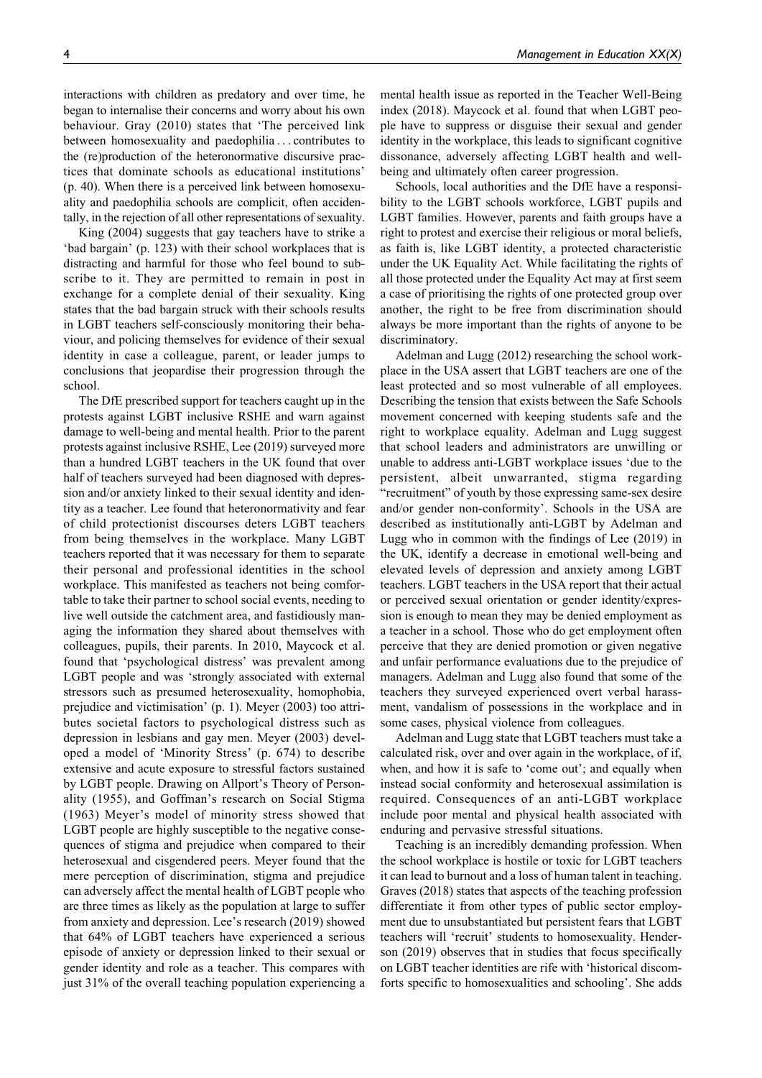interactions with children as predatory and over time, he began to internalise their concerns and worry about his own behaviour. Gray (2010) states that 'The perceived link between homosexuality and paedophilia ... contributes to the (re)production of the heteronormative discursive practices that dominate schools as educational institutions' (p. 40). When there is a perceived link between homosexuality and paedophilia schools are complicit, often accidentally, in the rejection of all other representations of sexuality.

King (2004) suggests that gay teachers have to strike a 'bad bargain' (p. 123) with their school workplaces that is distracting and harmful for those who feel bound to subscribe to it. They are permitted to remain in post in exchange for a complete denial of their sexuality. King states that the bad bargain struck with their schools results in LGBT teachers self-consciously monitoring their behaviour, and policing themselves for evidence of their sexual identity in case a colleague, parent, or leader jumps to conclusions that jeopardise their progression through the school.

The DfE prescribed support for teachers caught up in the protests against LGBT inclusive RSHE and warn against damage to well-being and mental health. Prior to the parent protests against inclusive RSHE, Lee (2019) surveyed more than a hundred LGBT teachers in the UK found that over half of teachers surveyed had been diagnosed with depression and/or anxiety linked to their sexual identity and identity as a teacher. Lee found that heteronormativity and fear of child protectionist discourses deters LGBT teachers from being themselves in the workplace. Many LGBT teachers reported that it was necessary for them to separate their personal and professional identities in the school workplace. This manifested as teachers not being comfortable to take their partner to school social events, needing to live well outside the catchment area, and fastidiously managing the information they shared about themselves with colleagues, pupils, their parents. In 2010, Maycock et al. found that 'psychological distress' was prevalent among LGBT people and was 'strongly associated with external stressors such as presumed heterosexuality, homophobia, prejudice and victimisation' (p. 1). Meyer (2003) too attributes societal factors to psychological distress such as depression in lesbians and gay men. Meyer (2003) developed a model of 'Minority Stress' (p. 674) to describe extensive and acute exposure to stressful factors sustained by LGBT people. Drawing on Allport's Theory of Personality (1955), and Goffman's research on Social Stigma (1963) Meyer's model of minority stress showed that LGBT people are highly susceptible to the negative consequences of stigma and prejudice when compared to their heterosexual and cisgendered peers. Meyer found that the mere perception of discrimination, stigma and prejudice can adversely affect the mental health of LGBT people who are three times as likely as the population at large to suffer from anxiety and depression. Lee's research (2019) showed that 64% of LGBT teachers have experienced a serious episode of anxiety or depression linked to their sexual or gender identity and role as a teacher. This compares with just 31% of the overall teaching population experiencing a mental health issue as reported in the Teacher Well-Being index (2018). Maycock et al. found that when LGBT people have to suppress or disguise their sexual and gender identity in the workplace, this leads to significant cognitive dissonance, adversely affecting LGBT health and wellbeing and ultimately often career progression.

Schools, local authorities and the DfE have a responsibility to the LGBT schools workforce, LGBT pupils and LGBT families. However, parents and faith groups have a right to protest and exercise their religious or moral beliefs, as faith is, like LGBT identity, a protected characteristic under the UK Equality Act. While facilitating the rights of all those protected under the Equality Act may at first seem a case of prioritising the rights of one protected group over another, the right to be free from discrimination should always be more important than the rights of anyone to be discriminatory.

Adelman and Lugg (2012) researching the school workplace in the USA assert that LGBT teachers are one of the least protected and so most vulnerable of all employees. Describing the tension that exists between the Safe Schools movement concerned with keeping students safe and the right to workplace equality. Adelman and Lugg suggest that school leaders and administrators are unwilling or unable to address anti-LGBT workplace issues 'due to the persistent, albeit unwarranted, stigma regarding "recruitment" of youth by those expressing same-sex desire and/or gender non-conformity'. Schools in the USA are described as institutionally anti-LGBT by Adelman and Lugg who in common with the findings of Lee (2019) in the UK, identify a decrease in emotional well-being and elevated levels of depression and anxiety among LGBT teachers. LGBT teachers in the USA report that their actual or perceived sexual orientation or gender identity/expression is enough to mean they may be denied employment as a teacher in a school. Those who do get employment often perceive that they are denied promotion or given negative and unfair performance evaluations due to the prejudice of managers. Adelman and Lugg also found that some of the teachers they surveyed experienced overt verbal harassment, vandalism of possessions in the workplace and in some cases, physical violence from colleagues.

Adelman and Lugg state that LGBT teachers must take a calculated risk, over and over again in the workplace, of if, when, and how it is safe to 'come out'; and equally when instead social conformity and heterosexual assimilation is required. Consequences of an anti-LGBT workplace include poor mental and physical health associated with enduring and pervasive stressful situations.

Teaching is an incredibly demanding profession. When the school workplace is hostile or toxic for LGBT teachers it can lead to burnout and a loss of human talent in teaching. Graves (2018) states that aspects of the teaching profession differentiate it from other types of public sector employment due to unsubstantiated but persistent fears that LGBT teachers will 'recruit' students to homosexuality. Henderson (2019) observes that in studies that focus specifically on LGBT teacher identities are rife with 'historical discomforts specific to homosexualities and schooling'. She adds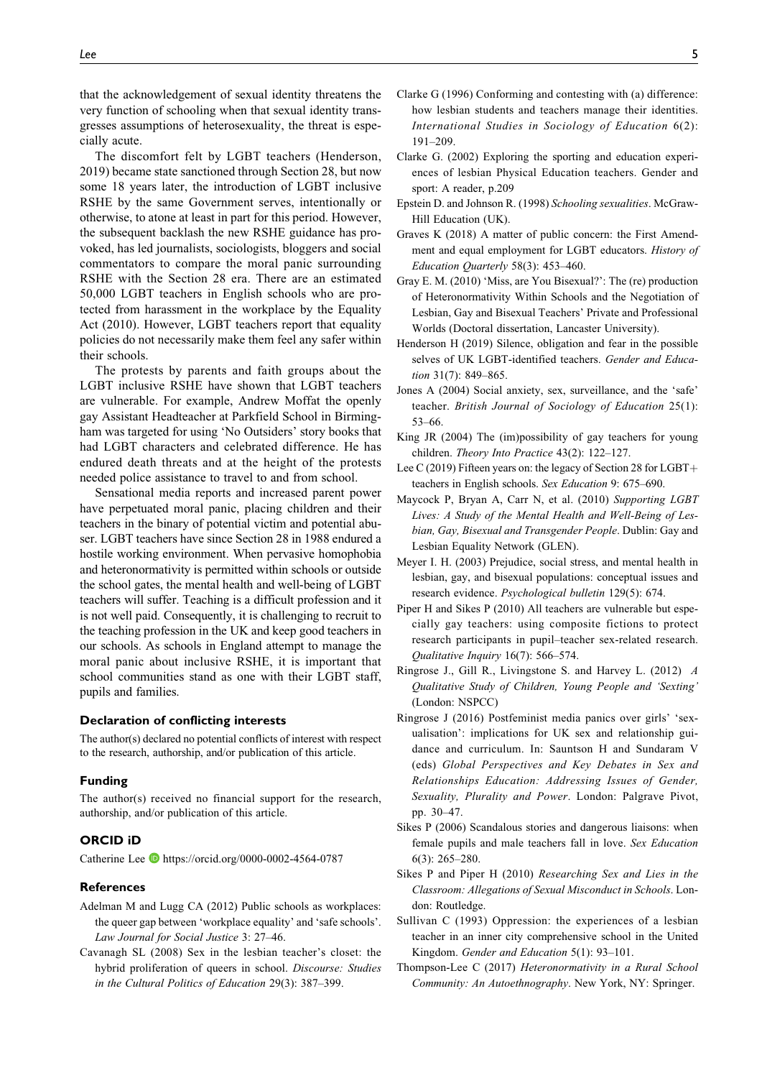that the acknowledgement of sexual identity threatens the very function of schooling when that sexual identity transgresses assumptions of heterosexuality, the threat is especially acute.

The discomfort felt by LGBT teachers (Henderson, 2019) became state sanctioned through Section 28, but now some 18 years later, the introduction of LGBT inclusive RSHE by the same Government serves, intentionally or otherwise, to atone at least in part for this period. However, the subsequent backlash the new RSHE guidance has provoked, has led journalists, sociologists, bloggers and social commentators to compare the moral panic surrounding RSHE with the Section 28 era. There are an estimated 50,000 LGBT teachers in English schools who are protected from harassment in the workplace by the Equality Act (2010). However, LGBT teachers report that equality policies do not necessarily make them feel any safer within their schools.

The protests by parents and faith groups about the LGBT inclusive RSHE have shown that LGBT teachers are vulnerable. For example, Andrew Moffat the openly gay Assistant Headteacher at Parkfield School in Birmingham was targeted for using 'No Outsiders' story books that had LGBT characters and celebrated difference. He has endured death threats and at the height of the protests needed police assistance to travel to and from school.

Sensational media reports and increased parent power have perpetuated moral panic, placing children and their teachers in the binary of potential victim and potential abuser. LGBT teachers have since Section 28 in 1988 endured a hostile working environment. When pervasive homophobia and heteronormativity is permitted within schools or outside the school gates, the mental health and well-being of LGBT teachers will suffer. Teaching is a difficult profession and it is not well paid. Consequently, it is challenging to recruit to the teaching profession in the UK and keep good teachers in our schools. As schools in England attempt to manage the moral panic about inclusive RSHE, it is important that school communities stand as one with their LGBT staff, pupils and families.

#### **Declaration of conflicting interests**

The author(s) declared no potential conflicts of interest with respect to the research, authorship, and/or publication of this article.

#### **Funding**

The author(s) received no financial support for the research, authorship, and/or publication of this article.

### **ORCID iD**

Catherine Lee D <https://orcid.org/0000-0002-4564-0787>

#### **References**

- Adelman M and Lugg CA (2012) Public schools as workplaces: the queer gap between 'workplace equality' and 'safe schools'. Law Journal for Social Justice 3: 27–46.
- Cavanagh SL (2008) Sex in the lesbian teacher's closet: the hybrid proliferation of queers in school. Discourse: Studies in the Cultural Politics of Education 29(3): 387–399.
- Clarke G (1996) Conforming and contesting with (a) difference: how lesbian students and teachers manage their identities. International Studies in Sociology of Education 6(2): 191–209.
- Clarke G. (2002) Exploring the sporting and education experiences of lesbian Physical Education teachers. Gender and sport: A reader, p.209
- Epstein D. and Johnson R. (1998) Schooling sexualities. McGraw-Hill Education (UK).
- Graves K (2018) A matter of public concern: the First Amendment and equal employment for LGBT educators. History of Education Quarterly 58(3): 453–460.
- Gray E. M. (2010) 'Miss, are You Bisexual?': The (re) production of Heteronormativity Within Schools and the Negotiation of Lesbian, Gay and Bisexual Teachers' Private and Professional Worlds (Doctoral dissertation, Lancaster University).
- Henderson H (2019) Silence, obligation and fear in the possible selves of UK LGBT-identified teachers. Gender and Education 31(7): 849–865.
- Jones A (2004) Social anxiety, sex, surveillance, and the 'safe' teacher. British Journal of Sociology of Education 25(1): 53–66.
- King JR (2004) The (im)possibility of gay teachers for young children. Theory Into Practice 43(2): 122–127.
- Lee C (2019) Fifteen years on: the legacy of Section 28 for LGBT+ teachers in English schools. Sex Education 9: 675–690.
- Maycock P, Bryan A, Carr N, et al. (2010) Supporting LGBT Lives: A Study of the Mental Health and Well-Being of Lesbian, Gay, Bisexual and Transgender People. Dublin: Gay and Lesbian Equality Network (GLEN).
- Meyer I. H. (2003) Prejudice, social stress, and mental health in lesbian, gay, and bisexual populations: conceptual issues and research evidence. Psychological bulletin 129(5): 674.
- Piper H and Sikes P (2010) All teachers are vulnerable but especially gay teachers: using composite fictions to protect research participants in pupil–teacher sex-related research. Qualitative Inquiry 16(7): 566–574.
- Ringrose J., Gill R., Livingstone S. and Harvey L. (2012) A Qualitative Study of Children, Young People and 'Sexting' (London: NSPCC)
- Ringrose J (2016) Postfeminist media panics over girls' 'sexualisation': implications for UK sex and relationship guidance and curriculum. In: Sauntson H and Sundaram V (eds) Global Perspectives and Key Debates in Sex and Relationships Education: Addressing Issues of Gender, Sexuality, Plurality and Power. London: Palgrave Pivot, pp. 30–47.
- Sikes P (2006) Scandalous stories and dangerous liaisons: when female pupils and male teachers fall in love. Sex Education 6(3): 265–280.
- Sikes P and Piper H (2010) Researching Sex and Lies in the Classroom: Allegations of Sexual Misconduct in Schools. London: Routledge.
- Sullivan C (1993) Oppression: the experiences of a lesbian teacher in an inner city comprehensive school in the United Kingdom. Gender and Education 5(1): 93–101.
- Thompson-Lee C (2017) Heteronormativity in a Rural School Community: An Autoethnography. New York, NY: Springer.